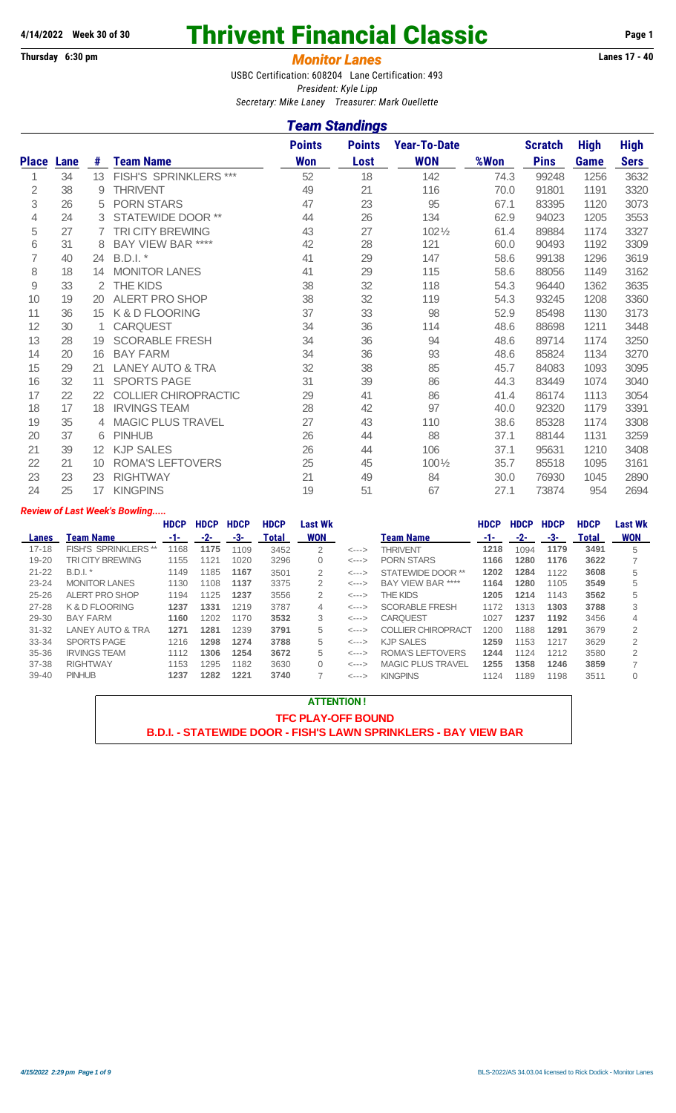# A/14/2022 Week 30 of 30<br>
Thursday 6:30 pm<br> **Monitor Lanes**<br> **Monitor Lanes**<br> **Monitor Lanes**<br> **Monitor Lanes**<br> **Monitor Lanes**<br> **Monitor Lanes**<br> **Monitor Lanes**

#### **Monitor Lanes**

USBC Certification: 608204 Lane Certification: 493 *President: Kyle Lipp Secretary: Mike Laney Treasurer: Mark Ouellette*

#### *Team Standings*

|                |      |    |                             | <b>Points</b> | <b>Points</b> | <b>Year-To-Date</b> |      | <b>Scratch</b> | <b>High</b> | <b>High</b> |
|----------------|------|----|-----------------------------|---------------|---------------|---------------------|------|----------------|-------------|-------------|
| <b>Place</b>   | Lane | #  | <b>Team Name</b>            | <b>Won</b>    | Lost          | <b>WON</b>          | %Won | <b>Pins</b>    | Game        | <b>Sers</b> |
|                | 34   | 13 | FISH'S SPRINKLERS ***       | 52            | 18            | 142                 | 74.3 | 99248          | 1256        | 3632        |
| $\overline{2}$ | 38   | 9  | <b>THRIVENT</b>             | 49            | 21            | 116                 | 70.0 | 91801          | 1191        | 3320        |
| 3              | 26   | 5  | <b>PORN STARS</b>           | 47            | 23            | 95                  | 67.1 | 83395          | 1120        | 3073        |
| 4              | 24   | 3  | <b>STATEWIDE DOOR **</b>    | 44            | 26            | 134                 | 62.9 | 94023          | 1205        | 3553        |
| 5              | 27   |    | <b>TRI CITY BREWING</b>     | 43            | 27            | 1021/2              | 61.4 | 89884          | 1174        | 3327        |
| 6              | 31   | 8  | BAY VIEW BAR ****           | 42            | 28            | 121                 | 60.0 | 90493          | 1192        | 3309        |
| $\overline{7}$ | 40   | 24 | <b>B.D.I.</b> *             | 41            | 29            | 147                 | 58.6 | 99138          | 1296        | 3619        |
| 8              | 18   | 14 | <b>MONITOR LANES</b>        | 41            | 29            | 115                 | 58.6 | 88056          | 1149        | 3162        |
| 9              | 33   | 2  | THE KIDS                    | 38            | 32            | 118                 | 54.3 | 96440          | 1362        | 3635        |
| 10             | 19   | 20 | <b>ALERT PRO SHOP</b>       | 38            | 32            | 119                 | 54.3 | 93245          | 1208        | 3360        |
| 11             | 36   | 15 | K & D FLOORING              | 37            | 33            | 98                  | 52.9 | 85498          | 1130        | 3173        |
| 12             | 30   | 1  | <b>CARQUEST</b>             | 34            | 36            | 114                 | 48.6 | 88698          | 1211        | 3448        |
| 13             | 28   | 19 | <b>SCORABLE FRESH</b>       | 34            | 36            | 94                  | 48.6 | 89714          | 1174        | 3250        |
| 14             | 20   | 16 | <b>BAY FARM</b>             | 34            | 36            | 93                  | 48.6 | 85824          | 1134        | 3270        |
| 15             | 29   | 21 | <b>LANEY AUTO &amp; TRA</b> | 32            | 38            | 85                  | 45.7 | 84083          | 1093        | 3095        |
| 16             | 32   | 11 | <b>SPORTS PAGE</b>          | 31            | 39            | 86                  | 44.3 | 83449          | 1074        | 3040        |
| 17             | 22   | 22 | COLLIER CHIROPRACTIC        | 29            | 41            | 86                  | 41.4 | 86174          | 1113        | 3054        |
| 18             | 17   | 18 | <b>IRVINGS TEAM</b>         | 28            | 42            | 97                  | 40.0 | 92320          | 1179        | 3391        |
| 19             | 35   | 4  | <b>MAGIC PLUS TRAVEL</b>    | 27            | 43            | 110                 | 38.6 | 85328          | 1174        | 3308        |
| 20             | 37   | 6  | <b>PINHUB</b>               | 26            | 44            | 88                  | 37.1 | 88144          | 1131        | 3259        |
| 21             | 39   | 12 | <b>KJP SALES</b>            | 26            | 44            | 106                 | 37.1 | 95631          | 1210        | 3408        |
| 22             | 21   | 10 | <b>ROMA'S LEFTOVERS</b>     | 25            | 45            | 1001/2              | 35.7 | 85518          | 1095        | 3161        |
| 23             | 23   | 23 | <b>RIGHTWAY</b>             | 21            | 49            | 84                  | 30.0 | 76930          | 1045        | 2890        |
| 24             | 25   | 17 | <b>KINGPINS</b>             | 19            | 51            | 67                  | 27.1 | 73874          | 954         | 2694        |

#### *Review of Last Week's Bowling.....*

|           |                             | <b>HDCP</b> | <b>HDCP</b> | <b>HDCP</b> | <b>HDCP</b>  | <b>Last Wk</b> |                            |                           | <b>HDCP</b> | <b>HDCP</b> | <b>HDCP</b> | <b>HDCP</b> | <b>Last Wk</b> |
|-----------|-----------------------------|-------------|-------------|-------------|--------------|----------------|----------------------------|---------------------------|-------------|-------------|-------------|-------------|----------------|
| Lanes     | Team Name                   | -1-         | $-2-$       | -3-         | <b>Total</b> | <b>WON</b>     |                            | <b>Team Name</b>          | -1-         | $-2-$       | -3-         | Total       | <b>WON</b>     |
| $17 - 18$ | <b>FISH'S SPRINKLERS**</b>  | 1168        | 1175        | 1109        | 3452         | 2              | $\leftarrow$ $\rightarrow$ | <b>THRIVENT</b>           | 1218        | 1094        | 1179        | 3491        | 5              |
| $19 - 20$ | TRI CITY BREWING            | 1155        | 1121        | 1020        | 3296         | 0              | $\leftarrow$ -->           | <b>PORN STARS</b>         | 1166        | 1280        | 1176        | 3622        |                |
| $21 - 22$ | B.D.l.                      | 1149        | 1185        | 1167        | 3501         | 2              | $\leftarrow$ $\rightarrow$ | STATEWIDE DOOR **         | 1202        | 1284        | 1122        | 3608        | 5              |
| $23 - 24$ | <b>MONITOR LANES</b>        | 1130        | 1108        | 1137        | 3375         | 2              | $\leftarrow$ $\rightarrow$ | BAY VIEW BAR ****         | 1164        | 1280        | 1105        | 3549        | 5              |
| $25 - 26$ | <b>ALERT PRO SHOP</b>       | 1194        | 1125        | 1237        | 3556         | 2              | $\leftarrow$ -->           | THE KIDS                  | 1205        | 1214        | 1143        | 3562        | 5              |
| $27 - 28$ | K & D FLOORING              | 1237        | 1331        | 1219        | 3787         | 4              | $\leftarrow -$             | <b>SCORABLE FRESH</b>     | 1172        | 1313        | 1303        | 3788        | 3              |
| 29-30     | <b>BAY FARM</b>             | 1160        | 1202        | 1170        | 3532         | 3              | $\leftarrow$ $\rightarrow$ | <b>CARQUEST</b>           | 1027        | 1237        | 1192        | 3456        | 4              |
| $31 - 32$ | <b>LANEY AUTO &amp; TRA</b> | 1271        | 1281        | 1239        | 3791         | 5              | $\leftarrow$ $\rightarrow$ | <b>COLLIER CHIROPRACT</b> | 1200        | 1188        | 1291        | 3679        | 2              |
| $33 - 34$ | <b>SPORTS PAGE</b>          | 1216        | 1298        | 1274        | 3788         | 5              | $\leftarrow$ -->           | <b>KJP SALES</b>          | 1259        | 1153        | 1217        | 3629        | 2              |
| $35 - 36$ | <b>IRVINGS TEAM</b>         | 1112        | 1306        | 1254        | 3672         | 5              | $\leftarrow$ $\rightarrow$ | <b>ROMA'S LEFTOVERS</b>   | 1244        | 1124        | 1212        | 3580        | 2              |
| 37-38     | <b>RIGHTWAY</b>             | 1153        | 1295        | 1182        | 3630         | 0              | $\leftarrow$ -->           | <b>MAGIC PLUS TRAVEL</b>  | 1255        | 1358        | 1246        | 3859        |                |
| $39 - 40$ | <b>PINHUB</b>               | 1237        | 1282        | 1221        | 3740         |                | $\leftarrow$ --- $>$       | <b>KINGPINS</b>           | 1124        | 1189        | 1198        | 3511        |                |
|           |                             |             |             |             |              |                |                            |                           |             |             |             |             |                |

#### **ATTENTION ! TFC PLAY-OFF BOUND B.D.I. - STATEWIDE DOOR - FISH'S LAWN SPRINKLERS - BAY VIEW BAR**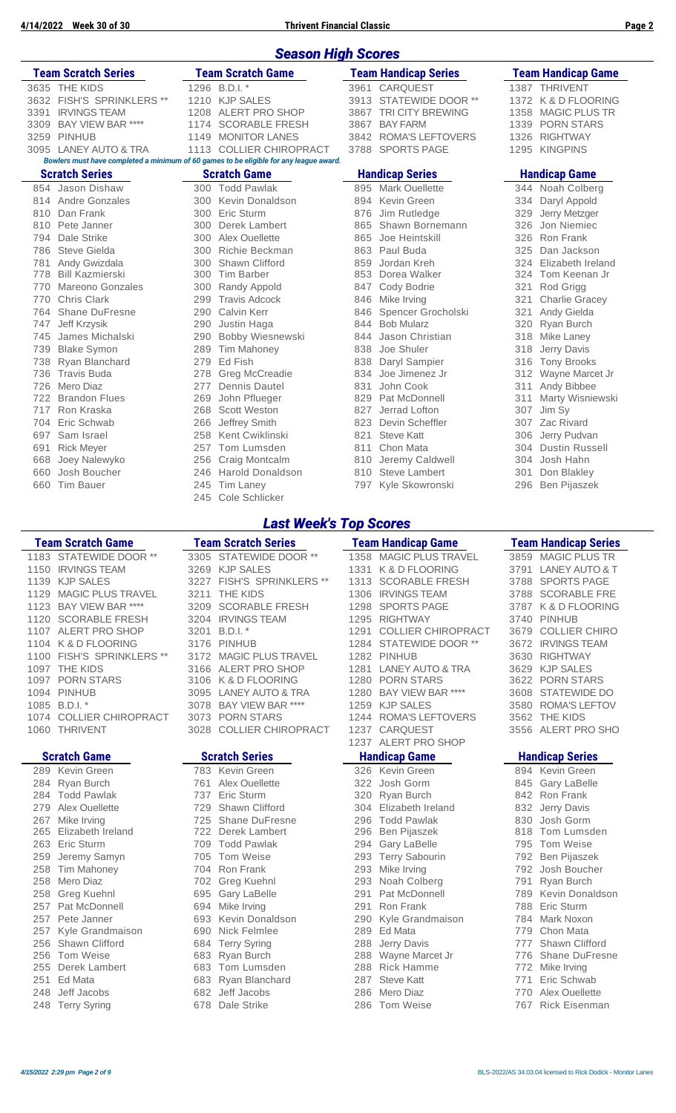| 4/14/2022    | <b>Week 30 of 30</b>                                                                                            |            | <b>Thrivent Financial Classic</b>                 |            |                                             |            | Page 2                                   |
|--------------|-----------------------------------------------------------------------------------------------------------------|------------|---------------------------------------------------|------------|---------------------------------------------|------------|------------------------------------------|
|              |                                                                                                                 |            | <b>Season High Scores</b>                         |            |                                             |            |                                          |
|              | <b>Team Scratch Series</b>                                                                                      |            | <b>Team Scratch Game</b>                          |            | <b>Team Handicap Series</b>                 |            | <b>Team Handicap Game</b>                |
|              | 3635 THE KIDS                                                                                                   |            | 1296 B.D.I. *                                     |            | 3961 CARQUEST                               |            | 1387 THRIVENT                            |
|              | 3632 FISH'S SPRINKLERS **                                                                                       |            | 1210 KJP SALES                                    |            | 3913 STATEWIDE DOOR **                      |            | 1372 K & D FLOORING                      |
|              | 3391 IRVINGS TEAM                                                                                               |            | 1208 ALERT PRO SHOP                               |            | 3867 TRI CITY BREWING                       |            | 1358 MAGIC PLUS TR                       |
|              | 3309 BAY VIEW BAR ****                                                                                          | 1174       | <b>SCORABLE FRESH</b>                             |            | 3867 BAY FARM                               |            | 1339 PORN STARS                          |
|              | 3259 PINHUB                                                                                                     | 1149       | <b>MONITOR LANES</b><br><b>COLLIER CHIROPRACT</b> | 3788       | 3842 ROMA'S LEFTOVERS<br><b>SPORTS PAGE</b> | 1326       | <b>RIGHTWAY</b><br>1295 KINGPINS         |
|              | 3095 LANEY AUTO & TRA<br>Bowlers must have completed a minimum of 60 games to be eligible for any league award. | 1113       |                                                   |            |                                             |            |                                          |
|              | <b>Scratch Series</b>                                                                                           |            | <b>Scratch Game</b>                               |            | <b>Handicap Series</b>                      |            | <b>Handicap Game</b>                     |
|              | 854 Jason Dishaw                                                                                                |            | 300 Todd Pawlak                                   |            | 895 Mark Ouellette                          |            | 344 Noah Colberg                         |
|              | 814 Andre Gonzales                                                                                              |            | 300 Kevin Donaldson                               | 894        | Kevin Green                                 | 334        | Daryl Appold                             |
| 810<br>810.  | Dan Frank<br>Pete Janner                                                                                        | 300<br>300 | <b>Eric Sturm</b><br>Derek Lambert                | 876<br>865 | Jim Rutledge<br>Shawn Bornemann             | 329<br>326 | Jerry Metzger<br>Jon Niemiec             |
| 794          | Dale Strike                                                                                                     | 300        | Alex Ouellette                                    | 865        | Joe Heintskill                              | 326        | Ron Frank                                |
| 786          | Steve Gielda                                                                                                    | 300        | Richie Beckman                                    | 863        | Paul Buda                                   | 325        | Dan Jackson                              |
|              | 781 Andy Gwizdala                                                                                               | 300        | Shawn Clifford                                    | 859        | Jordan Kreh                                 | 324        | Elizabeth Ireland                        |
| 778          | <b>Bill Kazmierski</b>                                                                                          |            | 300 Tim Barber                                    | 853        | Dorea Walker                                |            | 324 Tom Keenan Jr                        |
| 770.         | <b>Mareono Gonzales</b>                                                                                         | 300        | Randy Appold                                      | 847        | Cody Bodrie                                 | 321        | Rod Grigg                                |
| 770.         | <b>Chris Clark</b>                                                                                              | 299        | <b>Travis Adcock</b>                              | 846        | Mike Irving                                 | 321        | <b>Charlie Gracey</b>                    |
| 764          | <b>Shane DuFresne</b>                                                                                           | 290<br>290 | Calvin Kerr                                       | 846<br>844 | Spencer Grocholski<br><b>Bob Mularz</b>     | 321        | Andy Gielda<br>Ryan Burch                |
| 747<br>745   | Jeff Krzysik<br>James Michalski                                                                                 | 290        | Justin Haga<br>Bobby Wiesnewski                   | 844        | Jason Christian                             | 320<br>318 | Mike Laney                               |
|              | 739 Blake Symon                                                                                                 | 289        | <b>Tim Mahoney</b>                                | 838        | Joe Shuler                                  | 318        | Jerry Davis                              |
| 738          | Ryan Blanchard                                                                                                  | 279        | Ed Fish                                           | 838        | Daryl Sampier                               | 316        | <b>Tony Brooks</b>                       |
| 736          | <b>Travis Buda</b>                                                                                              | 278        | Greg McCreadie                                    | 834        | Joe Jimenez Jr                              | 312        | Wayne Marcet Jr                          |
|              | 726 Mero Diaz                                                                                                   | 277        | Dennis Dautel                                     | 831        | John Cook                                   | 311        | Andy Bibbee                              |
| 722          | <b>Brandon Flues</b>                                                                                            | 269        | John Pflueger                                     | 829        | Pat McDonnell                               | 311        | Marty Wisniewski                         |
| 717          | Ron Kraska                                                                                                      | 268        | <b>Scott Weston</b>                               | 827        | Jerrad Lofton                               | 307        | Jim Sy                                   |
| 704<br>697   | Eric Schwab<br>Sam Israel                                                                                       | 266<br>258 | Jeffrey Smith<br>Kent Cwiklinski                  | 823<br>821 | Devin Scheffler<br><b>Steve Katt</b>        | 306        | 307 Zac Rivard<br>Jerry Pudvan           |
| 691          | <b>Rick Meyer</b>                                                                                               | 257        | Tom Lumsden                                       | 811        | Chon Mata                                   | 304        | <b>Dustin Russell</b>                    |
| 668          | Joey Nalewyko                                                                                                   | 256        | Craig Montcalm                                    | 810        | Jeremy Caldwell                             | 304        | Josh Hahn                                |
| 660          | Josh Boucher                                                                                                    | 246        | <b>Harold Donaldson</b>                           |            | 810 Steve Lambert                           | 301        | Don Blakley                              |
|              | 660 Tim Bauer                                                                                                   | 245<br>245 | Tim Laney<br>Cole Schlicker                       |            | 797 Kyle Skowronski                         | 296        | Ben Pijaszek                             |
|              |                                                                                                                 |            | <b>Last Week's Top Scores</b>                     |            |                                             |            |                                          |
|              | <b>Team Scratch Game</b>                                                                                        |            | <b>Team Scratch Series</b>                        |            | <b>Team Handicap Game</b>                   |            | <b>Team Handicap Series</b>              |
|              | 1183 STATEWIDE DOOR **                                                                                          |            | 3305 STATEWIDE DOOR **                            |            | 1358 MAGIC PLUS TRAVEL                      | 3859       | <b>MAGIC PLUS TR</b>                     |
|              | 1150 IRVINGS TEAM                                                                                               | 3269       | <b>KJP SALES</b>                                  | 1331       | K & D FLOORING                              | 3791       | LANEY AUTO & T                           |
| 1139         | <b>KJP SALES</b>                                                                                                | 3227       | FISH'S SPRINKLERS **                              | 1313       | <b>SCORABLE FRESH</b>                       | 3788       | <b>SPORTS PAGE</b>                       |
| 1129         | <b>MAGIC PLUS TRAVEL</b>                                                                                        | 3211       | THE KIDS                                          | 1306       | <b>IRVINGS TEAM</b>                         | 3788       | <b>SCORABLE FRE</b>                      |
| 1123<br>1120 | BAY VIEW BAR ****<br><b>SCORABLE FRESH</b>                                                                      | 3209       | <b>SCORABLE FRESH</b><br>3204 IRVINGS TEAM        | 1298       | <b>SPORTS PAGE</b><br>1295 RIGHTWAY         | 3740       | 3787 K & D FLOORING<br><b>PINHUB</b>     |
|              | 1107 ALERT PRO SHOP                                                                                             | 3201       | B.D.I.                                            | 1291       | <b>COLLIER CHIROPRACT</b>                   | 3679       | <b>COLLIER CHIRO</b>                     |
|              | 1104 K & D FLOORING                                                                                             |            | 3176 PINHUB                                       |            | 1284 STATEWIDE DOOR **                      |            | 3672 IRVINGS TEAM                        |
|              | 1100 FISH'S SPRINKLERS **                                                                                       | 3172       | <b>MAGIC PLUS TRAVEL</b>                          |            | 1282 PINHUB                                 | 3630       | <b>RIGHTWAY</b>                          |
|              | 1097 THE KIDS                                                                                                   |            | 3166 ALERT PRO SHOP                               |            | 1281 LANEY AUTO & TRA                       | 3629       | <b>KJP SALES</b>                         |
| 1097         | <b>PORN STARS</b>                                                                                               |            | 3106 K & D FLOORING                               |            | 1280 PORN STARS                             |            | 3622 PORN STARS                          |
|              | 1094 PINHUB                                                                                                     |            | 3095 LANEY AUTO & TRA                             | 1280       | BAY VIEW BAR ****                           |            | 3608 STATEWIDE DO                        |
|              | 1085 B.D.I. *<br>1074 COLLIER CHIROPRACT                                                                        |            | 3078 BAY VIEW BAR ****<br>3073 PORN STARS         |            | 1259 KJP SALES<br>1244 ROMA'S LEFTOVERS     |            | 3580 ROMA'S LEFTOV<br>3562 THE KIDS      |
|              | 1060 THRIVENT                                                                                                   | 3028       | <b>COLLIER CHIROPRACT</b>                         |            | 1237 CARQUEST                               |            | 3556 ALERT PRO SHO                       |
|              |                                                                                                                 |            |                                                   |            | 1237 ALERT PRO SHOP                         |            |                                          |
|              | <b>Scratch Game</b>                                                                                             |            | <b>Scratch Series</b>                             |            | <b>Handicap Game</b>                        |            | <b>Handicap Series</b>                   |
|              | 289 Kevin Green                                                                                                 |            | 783 Kevin Green                                   |            | 326 Kevin Green                             |            | 894 Kevin Green                          |
| 284          | Ryan Burch                                                                                                      | 761        | Alex Ouellette                                    |            | 322 Josh Gorm                               |            | 845 Gary LaBelle                         |
| 284.         | <b>Todd Pawlak</b>                                                                                              | 737        | Eric Sturm                                        | 320        | Ryan Burch                                  |            | 842 Ron Frank                            |
| 279<br>267   | Alex Ouellette<br>Mike Irving                                                                                   | 729<br>725 | Shawn Clifford<br>Shane DuFresne                  | 304<br>296 | Elizabeth Ireland<br><b>Todd Pawlak</b>     | 830        | 832 Jerry Davis<br>Josh Gorm             |
| 265          | Elizabeth Ireland                                                                                               | 722        | Derek Lambert                                     | 296        | Ben Pijaszek                                | 818        | Tom Lumsden                              |
| 263          | <b>Eric Sturm</b>                                                                                               |            | 709 Todd Pawlak                                   | 294        | <b>Gary LaBelle</b>                         |            | 795 Tom Weise                            |
| 259          | Jeremy Samyn                                                                                                    |            | 705 Tom Weise                                     | 293        | <b>Terry Sabourin</b>                       | 792        | Ben Pijaszek                             |
| 258          | <b>Tim Mahoney</b>                                                                                              | 704        | <b>Ron Frank</b>                                  | 293        | Mike Irving                                 |            | 792 Josh Boucher                         |
| 258          | Mero Diaz                                                                                                       | 702        | Greg Kuehnl                                       | 293        | Noah Colberg                                | 791        | Ryan Burch                               |
| 258          | Greg Kuehnl<br>257 Pat McDonnell                                                                                | 695        | <b>Gary LaBelle</b><br>694 Mike Irving            | 291<br>291 | Pat McDonnell<br>Ron Frank                  | 789        | <b>Kevin Donaldson</b><br>788 Eric Sturm |
|              |                                                                                                                 |            |                                                   |            |                                             |            |                                          |

683 Ryan Burch 288 Wayne Marcet Jr 776 Shane DuFresne

 Pete Janner 693 Kevin Donaldson 290 Kyle Grandmaison 784 Mark Noxon Kyle Grandmaison 690 Nick Felmlee 289 Ed Mata 779 Chon Mata 256 Shawn Clifford<br>
256 Shawn Clifford 684 Terry Syring 288 Jerry Davis 777<br>
256 Tom Weise 683 Ryan Burch 288 Wayne Marcet Jr Derek Lambert 683 Tom Lumsden 288 Rick Hamme 772 Mike Irving 251 Ed Mata 683 Ryan Blanchard 287 Steve Katt 248 Jeff Jacobs 286 Mero Diaz 248 Terry Syring **678 Dale Strike 1286 Tom Weise** 286 Tom Series 286 Tom Weise 286 Tom Weise 286 Tom Weise 286 Tom

*4/15/2022 2:29 pm Page 2 of 9* BLS-2022/AS 34.03.04 licensed to Rick Dodick - Monitor Lanes

770 Alex Ouellette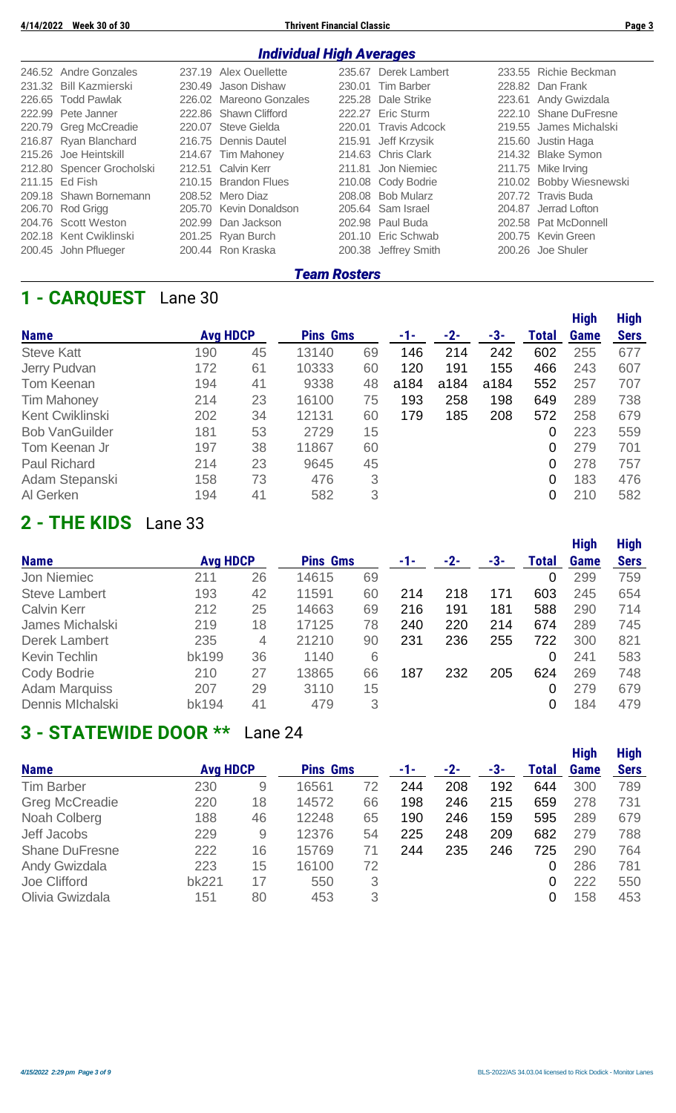| 246.52 Andre Gonzales     |  |  |                                                                                                                                                                                                                                                                                                                                   |  |                                                                                                                                                                                                                                                                                                                                                      | 233.55 Richie Beckman   |  |  |  |  |
|---------------------------|--|--|-----------------------------------------------------------------------------------------------------------------------------------------------------------------------------------------------------------------------------------------------------------------------------------------------------------------------------------|--|------------------------------------------------------------------------------------------------------------------------------------------------------------------------------------------------------------------------------------------------------------------------------------------------------------------------------------------------------|-------------------------|--|--|--|--|
| 231.32 Bill Kazmierski    |  |  |                                                                                                                                                                                                                                                                                                                                   |  |                                                                                                                                                                                                                                                                                                                                                      | 228.82 Dan Frank        |  |  |  |  |
| 226.65 Todd Pawlak        |  |  |                                                                                                                                                                                                                                                                                                                                   |  |                                                                                                                                                                                                                                                                                                                                                      | 223.61 Andy Gwizdala    |  |  |  |  |
| 222.99 Pete Janner        |  |  |                                                                                                                                                                                                                                                                                                                                   |  |                                                                                                                                                                                                                                                                                                                                                      | 222.10 Shane DuFresne   |  |  |  |  |
| 220.79 Greg McCreadie     |  |  |                                                                                                                                                                                                                                                                                                                                   |  |                                                                                                                                                                                                                                                                                                                                                      | 219.55 James Michalski  |  |  |  |  |
| 216.87 Ryan Blanchard     |  |  |                                                                                                                                                                                                                                                                                                                                   |  |                                                                                                                                                                                                                                                                                                                                                      | 215.60 Justin Haga      |  |  |  |  |
| 215.26 Joe Heintskill     |  |  |                                                                                                                                                                                                                                                                                                                                   |  |                                                                                                                                                                                                                                                                                                                                                      | 214.32 Blake Symon      |  |  |  |  |
| 212.80 Spencer Grocholski |  |  |                                                                                                                                                                                                                                                                                                                                   |  |                                                                                                                                                                                                                                                                                                                                                      | 211.75 Mike Irving      |  |  |  |  |
| 211.15 Ed Fish            |  |  |                                                                                                                                                                                                                                                                                                                                   |  |                                                                                                                                                                                                                                                                                                                                                      | 210.02 Bobby Wiesnewski |  |  |  |  |
| 209.18 Shawn Bornemann    |  |  |                                                                                                                                                                                                                                                                                                                                   |  |                                                                                                                                                                                                                                                                                                                                                      | 207.72 Travis Buda      |  |  |  |  |
| 206.70 Rod Grigg          |  |  |                                                                                                                                                                                                                                                                                                                                   |  | 204.87                                                                                                                                                                                                                                                                                                                                               | Jerrad Lofton           |  |  |  |  |
| 204.76 Scott Weston       |  |  |                                                                                                                                                                                                                                                                                                                                   |  |                                                                                                                                                                                                                                                                                                                                                      | 202.58 Pat McDonnell    |  |  |  |  |
| 202.18 Kent Cwiklinski    |  |  |                                                                                                                                                                                                                                                                                                                                   |  |                                                                                                                                                                                                                                                                                                                                                      | 200.75 Kevin Green      |  |  |  |  |
| 200.45 John Pflueger      |  |  |                                                                                                                                                                                                                                                                                                                                   |  |                                                                                                                                                                                                                                                                                                                                                      | 200.26 Joe Shuler       |  |  |  |  |
|                           |  |  | 237.19 Alex Ouellette<br>230.49 Jason Dishaw<br>226.02 Mareono Gonzales<br>222.86 Shawn Clifford<br>220.07 Steve Gielda<br>216.75 Dennis Dautel<br>214.67 Tim Mahoney<br>212.51 Calvin Kerr<br>210.15 Brandon Flues<br>208.52 Mero Diaz<br>205.70 Kevin Donaldson<br>202.99 Dan Jackson<br>201.25 Ryan Burch<br>200.44 Ron Kraska |  | <b>Individual High Averages</b><br>235.67 Derek Lambert<br>230.01 Tim Barber<br>225.28 Dale Strike<br>222.27 Eric Sturm<br>220.01 Travis Adcock<br>215.91 Jeff Krzysik<br>214.63 Chris Clark<br>211.81 Jon Niemiec<br>210.08 Cody Bodrie<br>208.08 Bob Mularz<br>205.64 Sam Israel<br>202.98 Paul Buda<br>201.10 Eric Schwab<br>200.38 Jeffrey Smith |                         |  |  |  |  |

#### *Team Rosters*

# **1 - CARQUEST** Lane 30

|                        |                 |    |                 |    |      |      |      |              | <b>High</b> | <b>High</b> |
|------------------------|-----------------|----|-----------------|----|------|------|------|--------------|-------------|-------------|
| <b>Name</b>            | <b>Avg HDCP</b> |    | <b>Pins Gms</b> |    | -1-  | -2-  | -3-  | <b>Total</b> | Game        | <b>Sers</b> |
| <b>Steve Katt</b>      | 190             | 45 | 13140           | 69 | 146  | 214  | 242  | 602          | 255         | 677         |
| Jerry Pudvan           | 172             | 61 | 10333           | 60 | 120  | 191  | 155  | 466          | 243         | 607         |
| <b>Tom Keenan</b>      | 194             | 41 | 9338            | 48 | a184 | a184 | a184 | 552          | 257         | 707         |
| <b>Tim Mahoney</b>     | 214             | 23 | 16100           | 75 | 193  | 258  | 198  | 649          | 289         | 738         |
| <b>Kent Cwiklinski</b> | 202             | 34 | 12131           | 60 | 179  | 185  | 208  | 572          | 258         | 679         |
| <b>Bob VanGuilder</b>  | 181             | 53 | 2729            | 15 |      |      |      | 0            | 223         | 559         |
| Tom Keenan Jr          | 197             | 38 | 11867           | 60 |      |      |      | 0            | 279         | 701         |
| <b>Paul Richard</b>    | 214             | 23 | 9645            | 45 |      |      |      | 0            | 278         | 757         |
| Adam Stepanski         | 158             | 73 | 476             | 3  |      |      |      | 0            | 183         | 476         |
| Al Gerken              | 194             | 41 | 582             | 3  |      |      |      | 0            | 210         | 582         |

### **2 - THE KIDS** Lane 33

|                      |                 |    |                 |    |     |     |     |                | <b>High</b> | <b>High</b> |
|----------------------|-----------------|----|-----------------|----|-----|-----|-----|----------------|-------------|-------------|
| <b>Name</b>          | <b>Avg HDCP</b> |    | <b>Pins Gms</b> |    | -1- | -2- | -3- | <b>Total</b>   | <b>Game</b> | <b>Sers</b> |
| Jon Niemiec          | 211             | 26 | 14615           | 69 |     |     |     | $\overline{0}$ | 299         | 759         |
| <b>Steve Lambert</b> | 193             | 42 | 11591           | 60 | 214 | 218 | 171 | 603            | 245         | 654         |
| <b>Calvin Kerr</b>   | 212             | 25 | 14663           | 69 | 216 | 191 | 181 | 588            | 290         | 714         |
| James Michalski      | 219             | 18 | 17125           | 78 | 240 | 220 | 214 | 674            | 289         | 745         |
| Derek Lambert        | 235             | 4  | 21210           | 90 | 231 | 236 | 255 | 722            | 300         | 821         |
| Kevin Techlin        | bk199           | 36 | 1140            | 6  |     |     |     | $\overline{0}$ | 241         | 583         |
| Cody Bodrie          | 210             | 27 | 13865           | 66 | 187 | 232 | 205 | 624            | 269         | 748         |
| <b>Adam Marquiss</b> | 207             | 29 | 3110            | 15 |     |     |     | 0              | 279         | 679         |
| Dennis Mlchalski     | bk194           | 41 | 479             | 3  |     |     |     | $\overline{0}$ | 184         | 479         |

### **3 - STATEWIDE DOOR \*\*** Lane 24

|                       |                 |    |                 |    |     |       |     |                | <b>High</b> | <b>High</b> |
|-----------------------|-----------------|----|-----------------|----|-----|-------|-----|----------------|-------------|-------------|
| <b>Name</b>           | <b>Avg HDCP</b> |    | <b>Pins Gms</b> |    | -1  | $-2-$ | -3- | Total          | <b>Game</b> | <b>Sers</b> |
| <b>Tim Barber</b>     | 230             | 9  | 16561           | 72 | 244 | 208   | 192 | 644            | 300         | 789         |
| <b>Greg McCreadie</b> | 220             | 18 | 14572           | 66 | 198 | 246   | 215 | 659            | 278         | 731         |
| Noah Colberg          | 188             | 46 | 12248           | 65 | 190 | 246   | 159 | 595            | 289         | 679         |
| Jeff Jacobs           | 229             | 9  | 12376           | 54 | 225 | 248   | 209 | 682            | 279         | 788         |
| <b>Shane DuFresne</b> | 222             | 16 | 15769           | 71 | 244 | 235   | 246 | 725            | 290         | 764         |
| <b>Andy Gwizdala</b>  | 223             | 15 | 16100           | 72 |     |       |     | $\overline{0}$ | 286         | 781         |
| Joe Clifford          | <b>bk221</b>    | 17 | 550             | 3  |     |       |     | 0              | 222         | 550         |
| Olivia Gwizdala       | 151             | 80 | 453             | 3  |     |       |     | $\Omega$       | 158         | 453         |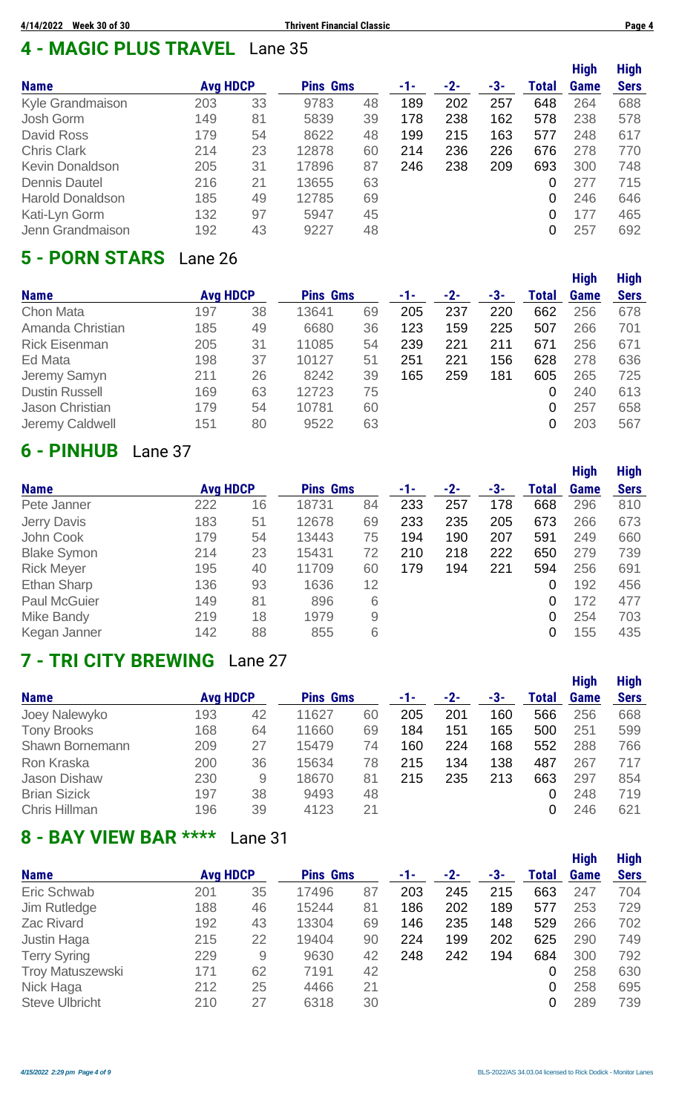# **4 - MAGIC PLUS TRAVEL** Lane 35

|                         |                 |    |                 |    |     |     |     |                | <b>High</b> | <b>High</b> |
|-------------------------|-----------------|----|-----------------|----|-----|-----|-----|----------------|-------------|-------------|
| <b>Name</b>             | <b>Avg HDCP</b> |    | <b>Pins Gms</b> |    | -1- | -2- | -3- | <b>Total</b>   | Game        | <b>Sers</b> |
| Kyle Grandmaison        | 203             | 33 | 9783            | 48 | 189 | 202 | 257 | 648            | 264         | 688         |
| Josh Gorm               | 149             | 81 | 5839            | 39 | 178 | 238 | 162 | 578            | 238         | 578         |
| David Ross              | 179             | 54 | 8622            | 48 | 199 | 215 | 163 | 577            | 248         | 617         |
| <b>Chris Clark</b>      | 214             | 23 | 12878           | 60 | 214 | 236 | 226 | 676            | 278         | 770         |
| <b>Kevin Donaldson</b>  | 205             | 31 | 17896           | 87 | 246 | 238 | 209 | 693            | 300         | 748         |
| <b>Dennis Dautel</b>    | 216             | 21 | 13655           | 63 |     |     |     | 0              | 277         | 715         |
| <b>Harold Donaldson</b> | 185             | 49 | 12785           | 69 |     |     |     | $\overline{0}$ | 246         | 646         |
| Kati-Lyn Gorm           | 132             | 97 | 5947            | 45 |     |     |     | 0              | 177         | 465         |
| Jenn Grandmaison        | 192             | 43 | 9227            | 48 |     |     |     | 0              | 257         | 692         |

### **5 - PORN STARS** Lane 26

|                       |                 |    |                 |    |     |     |     |              | <b>High</b> | <b>High</b> |
|-----------------------|-----------------|----|-----------------|----|-----|-----|-----|--------------|-------------|-------------|
| <b>Name</b>           | <b>Avg HDCP</b> |    | <b>Pins Gms</b> |    | -1- | -2- | -3- | <b>Total</b> | <b>Game</b> | <b>Sers</b> |
| <b>Chon Mata</b>      | 197             | 38 | 13641           | 69 | 205 | 237 | 220 | 662          | 256         | 678         |
| Amanda Christian      | 185             | 49 | 6680            | 36 | 123 | 159 | 225 | 507          | 266         | 701         |
| <b>Rick Eisenman</b>  | 205             | 31 | 11085           | 54 | 239 | 221 | 211 | 671          | 256         | 671         |
| Ed Mata               | 198             | 37 | 10127           | 51 | 251 | 221 | 156 | 628          | 278         | 636         |
| Jeremy Samyn          | 211             | 26 | 8242            | 39 | 165 | 259 | 181 | 605          | 265         | 725         |
| <b>Dustin Russell</b> | 169             | 63 | 12723           | 75 |     |     |     | 0            | 240         | 613         |
| Jason Christian       | 179             | 54 | 10781           | 60 |     |     |     | 0            | 257         | 658         |
| Jeremy Caldwell       | 151             | 80 | 9522            | 63 |     |     |     | 0            | 203         | 567         |

#### **6 - PINHUB** Lane 37

|                     |                 |    |                 |                |     |     |     |       | <b>High</b> | <b>High</b> |
|---------------------|-----------------|----|-----------------|----------------|-----|-----|-----|-------|-------------|-------------|
| <b>Name</b>         | <b>Avg HDCP</b> |    | <b>Pins Gms</b> |                | -1- | -2- | -3- | Total | Game        | <b>Sers</b> |
| Pete Janner         | 222             | 16 | 18731           | 84             | 233 | 257 | 178 | 668   | 296         | 810         |
| Jerry Davis         | 183             | 51 | 12678           | 69             | 233 | 235 | 205 | 673   | 266         | 673         |
| John Cook           | 179             | 54 | 13443           | 75             | 194 | 190 | 207 | 591   | 249         | 660         |
| <b>Blake Symon</b>  | 214             | 23 | 15431           | 72             | 210 | 218 | 222 | 650   | 279         | 739         |
| <b>Rick Meyer</b>   | 195             | 40 | 11709           | 60             | 179 | 194 | 221 | 594   | 256         | 691         |
| <b>Ethan Sharp</b>  | 136             | 93 | 1636            | 12             |     |     |     | 0     | 192         | 456         |
| <b>Paul McGuier</b> | 149             | 81 | 896             | 6              |     |     |     | 0     | 172         | 477         |
| <b>Mike Bandy</b>   | 219             | 18 | 1979            | $\overline{9}$ |     |     |     | 0     | 254         | 703         |
| Kegan Janner        | 142             | 88 | 855             | 6              |     |     |     | 0     | 155         | 435         |

# **7 - TRI CITY BREWING** Lane 27

|                      |                 |    |                 |    |     |     |     |              | <b>High</b> | <b>High</b> |
|----------------------|-----------------|----|-----------------|----|-----|-----|-----|--------------|-------------|-------------|
| <b>Name</b>          | <b>Avg HDCP</b> |    | <b>Pins Gms</b> |    | -1- | -2- | -3- | <b>Total</b> | <b>Game</b> | <b>Sers</b> |
| Joey Nalewyko        | 193             | 42 | 11627           | 60 | 205 | 201 | 160 | 566          | 256         | 668         |
| <b>Tony Brooks</b>   | 168             | 64 | 11660           | 69 | 184 | 151 | 165 | 500          | 251         | 599         |
| Shawn Bornemann      | 209             | 27 | 15479           | 74 | 160 | 224 | 168 | 552          | 288         | 766         |
| Ron Kraska           | 200             | 36 | 15634           | 78 | 215 | 134 | 138 | 487          | 267         | 717         |
| <b>Jason Dishaw</b>  | 230             | 9  | 18670           | 81 | 215 | 235 | 213 | 663          | 297         | 854         |
| <b>Brian Sizick</b>  | 197             | 38 | 9493            | 48 |     |     |     | 0            | 248         | 719         |
| <b>Chris Hillman</b> | 196             | 39 | 4123            | 21 |     |     |     | 0            | 246         | 621         |

### **8 - BAY VIEW BAR \*\*\*\*** Lane 31

|                         |                 |    |                 |    |     |     |     |              | <b>High</b> | <b>High</b> |
|-------------------------|-----------------|----|-----------------|----|-----|-----|-----|--------------|-------------|-------------|
| <b>Name</b>             | <b>Avg HDCP</b> |    | <b>Pins Gms</b> |    | -1- | -2- | -3- | <b>Total</b> | <b>Game</b> | <b>Sers</b> |
| Eric Schwab             | 201             | 35 | 17496           | 87 | 203 | 245 | 215 | 663          | 247         | 704         |
| Jim Rutledge            | 188             | 46 | 15244           | 81 | 186 | 202 | 189 | 577          | 253         | 729         |
| <b>Zac Rivard</b>       | 192             | 43 | 13304           | 69 | 146 | 235 | 148 | 529          | 266         | 702         |
| Justin Haga             | 215             | 22 | 19404           | 90 | 224 | 199 | 202 | 625          | 290         | 749         |
| <b>Terry Syring</b>     | 229             | 9  | 9630            | 42 | 248 | 242 | 194 | 684          | 300         | 792         |
| <b>Troy Matuszewski</b> | 171             | 62 | 7191            | 42 |     |     |     | 0            | 258         | 630         |
| Nick Haga               | 212             | 25 | 4466            | 21 |     |     |     | 0            | 258         | 695         |
| <b>Steve Ulbricht</b>   | 210             | 27 | 6318            | 30 |     |     |     | 0            | 289         | 739         |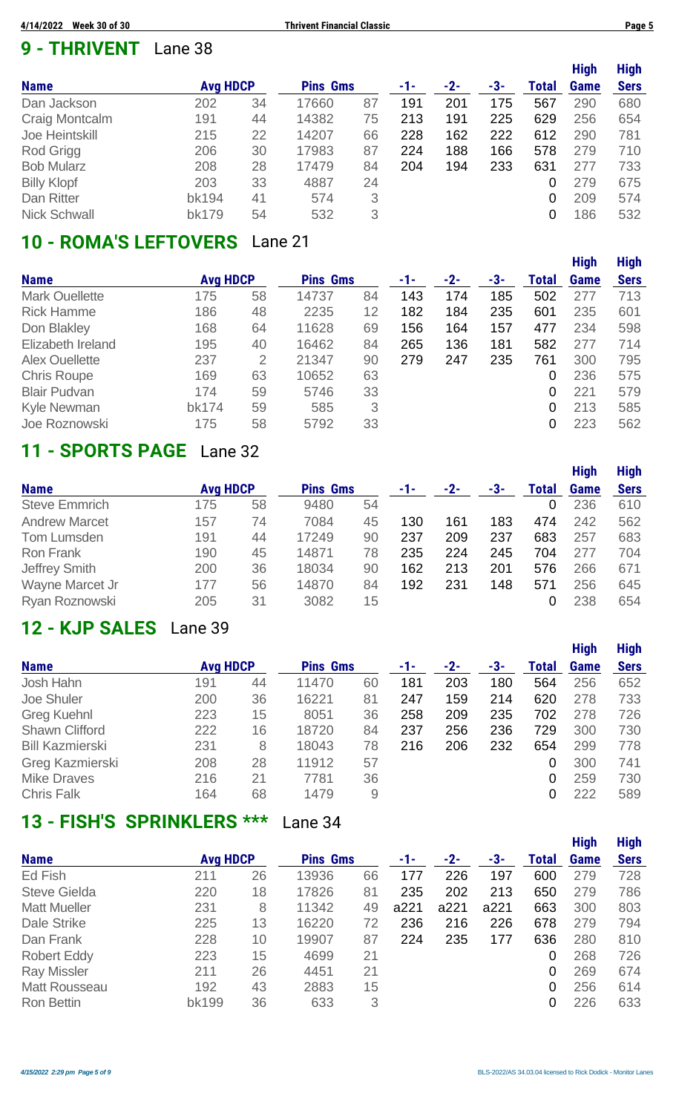### **9 - THRIVENT** Lane 38

|                       |                 |    |                 |    |     |     |     |       | <b>High</b> | <b>High</b> |
|-----------------------|-----------------|----|-----------------|----|-----|-----|-----|-------|-------------|-------------|
| <b>Name</b>           | <b>Avg HDCP</b> |    | <b>Pins Gms</b> |    | -1- | -2- | -3- | Total | Game        | <b>Sers</b> |
| Dan Jackson           | 202             | 34 | 17660           | 87 | 191 | 201 | 175 | 567   | 290         | 680         |
| <b>Craig Montcalm</b> | 191             | 44 | 14382           | 75 | 213 | 191 | 225 | 629   | 256         | 654         |
| Joe Heintskill        | 215             | 22 | 14207           | 66 | 228 | 162 | 222 | 612   | 290         | 781         |
| Rod Grigg             | 206             | 30 | 17983           | 87 | 224 | 188 | 166 | 578   | 279         | 710         |
| <b>Bob Mularz</b>     | 208             | 28 | 17479           | 84 | 204 | 194 | 233 | 631   | 277         | 733         |
| <b>Billy Klopf</b>    | 203             | 33 | 4887            | 24 |     |     |     | 0     | 279         | 675         |
| Dan Ritter            | <b>bk194</b>    | 41 | 574             | 3  |     |     |     | 0     | 209         | 574         |
| <b>Nick Schwall</b>   | bk179           | 54 | 532             | 3  |     |     |     | 0     | 186         | 532         |

### **10 - ROMA'S LEFTOVERS** Lane 21

|                       |                 |    |                 |    |     |     |     |              | <b>High</b> | <b>High</b> |
|-----------------------|-----------------|----|-----------------|----|-----|-----|-----|--------------|-------------|-------------|
| <b>Name</b>           | <b>Avg HDCP</b> |    | <b>Pins Gms</b> |    | -1- | -2- | -3- | <b>Total</b> | <b>Game</b> | <b>Sers</b> |
| <b>Mark Ouellette</b> | 175             | 58 | 14737           | 84 | 143 | 174 | 185 | 502          | 277         | 713         |
| <b>Rick Hamme</b>     | 186             | 48 | 2235            | 12 | 182 | 184 | 235 | 601          | 235         | 601         |
| Don Blakley           | 168             | 64 | 11628           | 69 | 156 | 164 | 157 | 477          | 234         | 598         |
| Elizabeth Ireland     | 195             | 40 | 16462           | 84 | 265 | 136 | 181 | 582          | 277         | 714         |
| <b>Alex Ouellette</b> | 237             | 2  | 21347           | 90 | 279 | 247 | 235 | 761          | 300         | 795         |
| <b>Chris Roupe</b>    | 169             | 63 | 10652           | 63 |     |     |     | 0            | 236         | 575         |
| <b>Blair Pudvan</b>   | 174             | 59 | 5746            | 33 |     |     |     | 0            | 221         | 579         |
| Kyle Newman           | <b>bk174</b>    | 59 | 585             | 3  |     |     |     | 0            | 213         | 585         |
| Joe Roznowski         | 175             | 58 | 5792            | 33 |     |     |     | 0            | 223         | 562         |

### **11 - SPORTS PAGE** Lane 32

|                      |                 |    |                 |    |     |     |     |              | <b>High</b> | <b>High</b> |
|----------------------|-----------------|----|-----------------|----|-----|-----|-----|--------------|-------------|-------------|
| <b>Name</b>          | <b>Avg HDCP</b> |    | <b>Pins Gms</b> |    | -1- | -2- | -3- | <b>Total</b> | <b>Game</b> | <b>Sers</b> |
| <b>Steve Emmrich</b> | 175             | 58 | 9480            | 54 |     |     |     |              | 236         | 610         |
| <b>Andrew Marcet</b> | 157             | 74 | 7084            | 45 | 130 | 161 | 183 | 474          | 242         | 562         |
| Tom Lumsden          | 191             | 44 | 17249           | 90 | 237 | 209 | 237 | 683          | 257         | 683         |
| <b>Ron Frank</b>     | 190             | 45 | 14871           | 78 | 235 | 224 | 245 | 704          | 277         | 704         |
| Jeffrey Smith        | 200             | 36 | 18034           | 90 | 162 | 213 | 201 | 576          | 266         | 671         |
| Wayne Marcet Jr      | 177             | 56 | 14870           | 84 | 192 | 231 | 148 | 571          | 256         | 645         |
| Ryan Roznowski       | 205             | 31 | 3082            | 15 |     |     |     |              | 238         | 654         |

# **12 - KJP SALES** Lane 39

|                        |     |                 |                 |    |     |     |     |              | <b>High</b> | <b>High</b> |
|------------------------|-----|-----------------|-----------------|----|-----|-----|-----|--------------|-------------|-------------|
| <b>Name</b>            |     | <b>Avg HDCP</b> | <b>Pins Gms</b> |    | -1- | -2- | -3- | <b>Total</b> | Game        | <b>Sers</b> |
| Josh Hahn              | 191 | 44              | 11470           | 60 | 181 | 203 | 180 | 564          | 256         | 652         |
| Joe Shuler             | 200 | 36              | 16221           | 81 | 247 | 159 | 214 | 620          | 278         | 733         |
| <b>Greg Kuehnl</b>     | 223 | 15              | 8051            | 36 | 258 | 209 | 235 | 702          | 278         | 726         |
| <b>Shawn Clifford</b>  | 222 | 16              | 18720           | 84 | 237 | 256 | 236 | 729          | 300         | 730         |
| <b>Bill Kazmierski</b> | 231 | 8               | 18043           | 78 | 216 | 206 | 232 | 654          | 299         | 778         |
| Greg Kazmierski        | 208 | 28              | 11912           | 57 |     |     |     | 0            | 300         | 741         |
| <b>Mike Draves</b>     | 216 | 21              | 7781            | 36 |     |     |     | 0            | 259         | 730         |
| <b>Chris Falk</b>      | 164 | 68              | 1479            | 9  |     |     |     | 0            | 222         | 589         |

#### **13 - FISH'S SPRINKLERS \*\*\*** Lane 34

|                      |                 |    |                 |    |      |      |      |              | <b>High</b> | <b>High</b> |
|----------------------|-----------------|----|-----------------|----|------|------|------|--------------|-------------|-------------|
| <b>Name</b>          | <b>Avg HDCP</b> |    | <b>Pins Gms</b> |    | -1-  | -2-  | -3-  | <b>Total</b> | <b>Game</b> | <b>Sers</b> |
| Ed Fish              | 211             | 26 | 13936           | 66 | 177  | 226  | 197  | 600          | 279         | 728         |
| <b>Steve Gielda</b>  | 220             | 18 | 17826           | 81 | 235  | 202  | 213  | 650          | 279         | 786         |
| <b>Matt Mueller</b>  | 231             | 8  | 11342           | 49 | a221 | a221 | a221 | 663          | 300         | 803         |
| Dale Strike          | 225             | 13 | 16220           | 72 | 236  | 216  | 226  | 678          | 279         | 794         |
| Dan Frank            | 228             | 10 | 19907           | 87 | 224  | 235  | 177  | 636          | 280         | 810         |
| <b>Robert Eddy</b>   | 223             | 15 | 4699            | 21 |      |      |      | 0            | 268         | 726         |
| <b>Ray Missler</b>   | 211             | 26 | 4451            | 21 |      |      |      | 0            | 269         | 674         |
| <b>Matt Rousseau</b> | 192             | 43 | 2883            | 15 |      |      |      | 0            | 256         | 614         |
| <b>Ron Bettin</b>    | bk199           | 36 | 633             | 3  |      |      |      | 0            | 226         | 633         |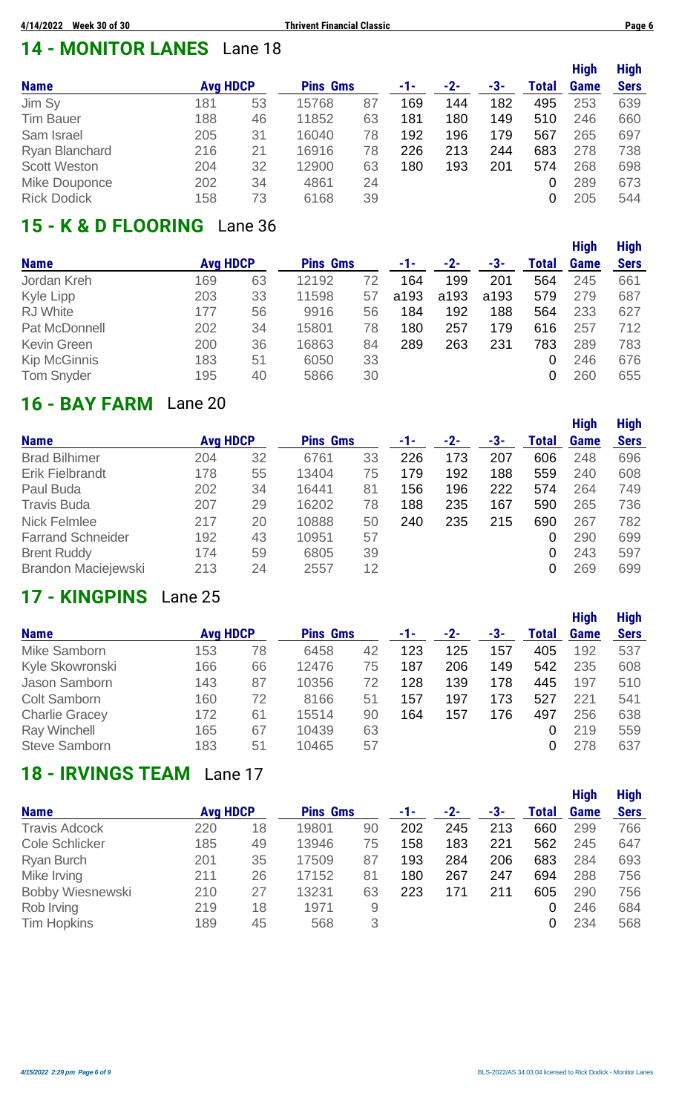# **14 - MONITOR LANES** Lane 18

|                       |                 |    |                 |    |     |     |     |       | <b>High</b> | <b>High</b> |
|-----------------------|-----------------|----|-----------------|----|-----|-----|-----|-------|-------------|-------------|
| <b>Name</b>           | <b>Avg HDCP</b> |    | <b>Pins Gms</b> |    | -1- | -2- | -3- | Total | <b>Game</b> | <b>Sers</b> |
| Jim Sy                | 181             | 53 | 15768           | 87 | 169 | 144 | 182 | 495   | 253         | 639         |
| <b>Tim Bauer</b>      | 188             | 46 | 11852           | 63 | 181 | 180 | 149 | 510   | 246         | 660         |
| Sam Israel            | 205             | 31 | 16040           | 78 | 192 | 196 | 179 | 567   | 265         | 697         |
| <b>Ryan Blanchard</b> | 216             | 21 | 16916           | 78 | 226 | 213 | 244 | 683   | 278         | 738         |
| <b>Scott Weston</b>   | 204             | 32 | 12900           | 63 | 180 | 193 | 201 | 574   | 268         | 698         |
| Mike Douponce         | 202             | 34 | 4861            | 24 |     |     |     | 0     | 289         | 673         |
| <b>Rick Dodick</b>    | 158             | 73 | 6168            | 39 |     |     |     | 0     | 205         | 544         |

# **15 - K & D FLOORING** Lane 36

|                     |                 |    |                 |    |      |      |      |       | <b>High</b> | <b>High</b> |
|---------------------|-----------------|----|-----------------|----|------|------|------|-------|-------------|-------------|
| <b>Name</b>         | <b>Avg HDCP</b> |    | <b>Pins Gms</b> |    | -1-  | -2-  | -3-  | Total | <b>Game</b> | <b>Sers</b> |
| Jordan Kreh         | 169             | 63 | 12192           | 72 | 164  | 199  | 201  | 564   | 245         | 661         |
| Kyle Lipp           | 203             | 33 | 11598           | 57 | a193 | a193 | a193 | 579   | 279         | 687         |
| <b>RJ</b> White     | 177             | 56 | 9916            | 56 | 184  | 192  | 188  | 564   | 233         | 627         |
| Pat McDonnell       | 202             | 34 | 15801           | 78 | 180  | 257  | 179  | 616   | 257         | 712         |
| <b>Kevin Green</b>  | 200             | 36 | 16863           | 84 | 289  | 263  | 231  | 783   | 289         | 783         |
| <b>Kip McGinnis</b> | 183             | 51 | 6050            | 33 |      |      |      | 0     | 246         | 676         |
| <b>Tom Snyder</b>   | 195             | 40 | 5866            | 30 |      |      |      | 0     | 260         | 655         |

#### **16 - BAY FARM** Lane 20

|                            |                 |    |                 |    |     |     |     |              | <b>High</b> | <b>High</b> |
|----------------------------|-----------------|----|-----------------|----|-----|-----|-----|--------------|-------------|-------------|
| <b>Name</b>                | <b>Avg HDCP</b> |    | <b>Pins Gms</b> |    | -1- | -2- | -3- | <b>Total</b> | <b>Game</b> | <b>Sers</b> |
| <b>Brad Bilhimer</b>       | 204             | 32 | 6761            | 33 | 226 | 173 | 207 | 606          | 248         | 696         |
| <b>Erik Fielbrandt</b>     | 178             | 55 | 13404           | 75 | 179 | 192 | 188 | 559          | 240         | 608         |
| Paul Buda                  | 202             | 34 | 16441           | 81 | 156 | 196 | 222 | 574          | 264         | 749         |
| <b>Travis Buda</b>         | 207             | 29 | 16202           | 78 | 188 | 235 | 167 | 590          | 265         | 736         |
| Nick Felmlee               | 217             | 20 | 10888           | 50 | 240 | 235 | 215 | 690          | 267         | 782         |
| <b>Farrand Schneider</b>   | 192             | 43 | 10951           | 57 |     |     |     | 0            | 290         | 699         |
| <b>Brent Ruddy</b>         | 174             | 59 | 6805            | 39 |     |     |     | 0            | 243         | 597         |
| <b>Brandon Maciejewski</b> | 213             | 24 | 2557            | 12 |     |     |     | 0            | 269         | 699         |

#### **17 - KINGPINS** Lane 25

|                       |                 |    |                 |    |     |     |     |       | <b>High</b> | <b>High</b> |
|-----------------------|-----------------|----|-----------------|----|-----|-----|-----|-------|-------------|-------------|
| <b>Name</b>           | <b>Avg HDCP</b> |    | <b>Pins Gms</b> |    | -1- | -2- | -3- | Total | <b>Game</b> | <b>Sers</b> |
| Mike Samborn          | 153             | 78 | 6458            | 42 | 123 | 125 | 157 | 405   | 192         | 537         |
| Kyle Skowronski       | 166             | 66 | 12476           | 75 | 187 | 206 | 149 | 542   | 235         | 608         |
| Jason Samborn         | 143             | 87 | 10356           | 72 | 128 | 139 | 178 | 445   | 197         | 510         |
| <b>Colt Samborn</b>   | 160             | 72 | 8166            | 51 | 157 | 197 | 173 | 527   | 221         | 541         |
| <b>Charlie Gracey</b> | 172             | 61 | 15514           | 90 | 164 | 157 | 176 | 497   | 256         | 638         |
| Ray Winchell          | 165             | 67 | 10439           | 63 |     |     |     |       | 219         | 559         |
| <b>Steve Samborn</b>  | 183             | 51 | 10465           | 57 |     |     |     | 0     | 278         | 637         |

# **18 - IRVINGS TEAM** Lane 17

|                         |                 |    |                 |    |     |     |     |              | <b>High</b> | <b>High</b> |
|-------------------------|-----------------|----|-----------------|----|-----|-----|-----|--------------|-------------|-------------|
| <b>Name</b>             | <b>Avg HDCP</b> |    | <b>Pins Gms</b> |    | -1- | -2- | -3- | <b>Total</b> | <b>Game</b> | <b>Sers</b> |
| <b>Travis Adcock</b>    | 220             | 18 | 19801           | 90 | 202 | 245 | 213 | 660          | 299         | 766         |
| <b>Cole Schlicker</b>   | 185             | 49 | 13946           | 75 | 158 | 183 | 221 | 562          | 245         | 647         |
| <b>Ryan Burch</b>       | 201             | 35 | 17509           | 87 | 193 | 284 | 206 | 683          | 284         | 693         |
| Mike Irving             | 211             | 26 | 17152           | 81 | 180 | 267 | 247 | 694          | 288         | 756         |
| <b>Bobby Wiesnewski</b> | 210             | 27 | 13231           | 63 | 223 | 171 | 211 | 605          | 290         | 756         |
| Rob Irving              | 219             | 18 | 1971            | 9  |     |     |     | 0            | 246         | 684         |
| <b>Tim Hopkins</b>      | 189             | 45 | 568             | 3  |     |     |     | 0            | 234         | 568         |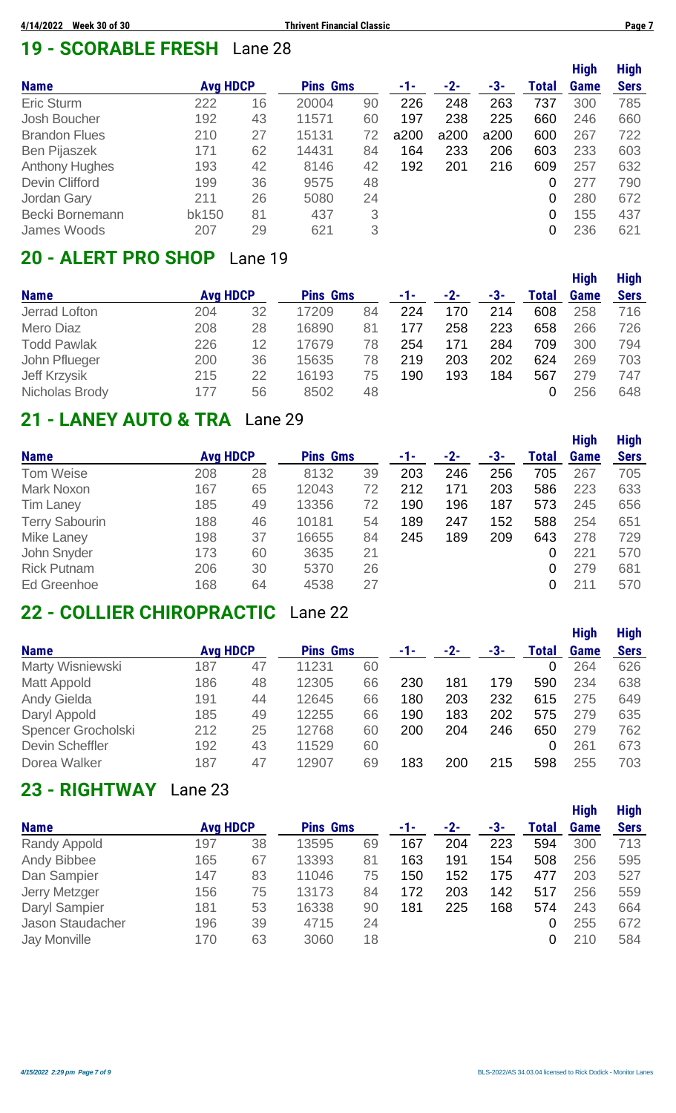### **19 - SCORABLE FRESH** Lane 28

|                       |                 |    |                 |    |      |      |      |              | <b>High</b> | <b>High</b> |
|-----------------------|-----------------|----|-----------------|----|------|------|------|--------------|-------------|-------------|
| <b>Name</b>           | <b>Avg HDCP</b> |    | <b>Pins Gms</b> |    | -1-  | -2-  | -3-  | <b>Total</b> | Game        | <b>Sers</b> |
| Eric Sturm            | 222             | 16 | 20004           | 90 | 226  | 248  | 263  | 737          | 300         | 785         |
| Josh Boucher          | 192             | 43 | 11571           | 60 | 197  | 238  | 225  | 660          | 246         | 660         |
| <b>Brandon Flues</b>  | 210             | 27 | 15131           | 72 | a200 | a200 | a200 | 600          | 267         | 722         |
| <b>Ben Pijaszek</b>   | 171             | 62 | 14431           | 84 | 164  | 233  | 206  | 603          | 233         | 603         |
| <b>Anthony Hughes</b> | 193             | 42 | 8146            | 42 | 192  | 201  | 216  | 609          | 257         | 632         |
| Devin Clifford        | 199             | 36 | 9575            | 48 |      |      |      | 0            | 277         | 790         |
| Jordan Gary           | 211             | 26 | 5080            | 24 |      |      |      | 0            | 280         | 672         |
| Becki Bornemann       | bk150           | 81 | 437             | 3  |      |      |      | 0            | 155         | 437         |
| James Woods           | 207             | 29 | 621             | 3  |      |      |      | 0            | 236         | 621         |

#### **20 - ALERT PRO SHOP** Lane 19

|                    |                 |    |                 |    |     |     |     |       | <b>High</b> | <b>High</b> |
|--------------------|-----------------|----|-----------------|----|-----|-----|-----|-------|-------------|-------------|
| <b>Name</b>        | <b>Avg HDCP</b> |    | <b>Pins Gms</b> |    | -1- | -2- | -3- | Total | <b>Game</b> | <b>Sers</b> |
| Jerrad Lofton      | 204             | 32 | 17209           | 84 | 224 | 170 | 214 | 608   | 258         | 716         |
| Mero Diaz          | 208             | 28 | 16890           | 81 | 177 | 258 | 223 | 658   | 266         | 726         |
| <b>Todd Pawlak</b> | 226             | 12 | 17679           | 78 | 254 | 171 | 284 | 709   | 300         | 794         |
| John Pflueger      | 200             | 36 | 15635           | 78 | 219 | 203 | 202 | 624   | 269         | 703         |
| Jeff Krzysik       | 215             | 22 | 16193           | 75 | 190 | 193 | 184 | 567   | 279         | 747         |
| Nicholas Brody     | 177             | 56 | 8502            | 48 |     |     |     | Ω     | 256         | 648         |

# **21 - LANEY AUTO & TRA** Lane 29

|                       |                 |    |                 |    |     |     |     |       | <b>High</b> | <b>High</b> |
|-----------------------|-----------------|----|-----------------|----|-----|-----|-----|-------|-------------|-------------|
| <b>Name</b>           | <b>Avg HDCP</b> |    | <b>Pins Gms</b> |    | -1- | -2- | -3- | Total | <b>Game</b> | <b>Sers</b> |
| <b>Tom Weise</b>      | 208             | 28 | 8132            | 39 | 203 | 246 | 256 | 705   | 267         | 705         |
| <b>Mark Noxon</b>     | 167             | 65 | 12043           | 72 | 212 | 171 | 203 | 586   | 223         | 633         |
| <b>Tim Laney</b>      | 185             | 49 | 13356           | 72 | 190 | 196 | 187 | 573   | 245         | 656         |
| <b>Terry Sabourin</b> | 188             | 46 | 10181           | 54 | 189 | 247 | 152 | 588   | 254         | 651         |
| Mike Laney            | 198             | 37 | 16655           | 84 | 245 | 189 | 209 | 643   | 278         | 729         |
| John Snyder           | 173             | 60 | 3635            | 21 |     |     |     | 0     | 221         | 570         |
| <b>Rick Putnam</b>    | 206             | 30 | 5370            | 26 |     |     |     | 0     | 279         | 681         |
| <b>Ed Greenhoe</b>    | 168             | 64 | 4538            | 27 |     |     |     | 0     | 211         | 570         |

# **22 - COLLIER CHIROPRACTIC** Lane 22

|                    |                 |    |                 |    |     |     |     |              | <b>High</b> | <b>High</b> |
|--------------------|-----------------|----|-----------------|----|-----|-----|-----|--------------|-------------|-------------|
| <b>Name</b>        | <b>Avg HDCP</b> |    | <b>Pins Gms</b> |    | -1- | -2- | -3- | <b>Total</b> | <b>Game</b> | <b>Sers</b> |
| Marty Wisniewski   | 187             | 47 | 11231           | 60 |     |     |     | 0            | 264         | 626         |
| Matt Appold        | 186             | 48 | 12305           | 66 | 230 | 181 | 179 | 590          | 234         | 638         |
| <b>Andy Gielda</b> | 191             | 44 | 12645           | 66 | 180 | 203 | 232 | 615          | 275         | 649         |
| Daryl Appold       | 185             | 49 | 12255           | 66 | 190 | 183 | 202 | 575          | 279         | 635         |
| Spencer Grocholski | 212             | 25 | 12768           | 60 | 200 | 204 | 246 | 650          | 279         | 762         |
| Devin Scheffler    | 192             | 43 | 11529           | 60 |     |     |     | 0            | 261         | 673         |
| Dorea Walker       | 187             | 47 | 12907           | 69 | 183 | 200 | 215 | 598          | 255         | 703         |

#### **23 - RIGHTWAY** Lane 23

|                         |                 |    |                 |    |     |     |     |              | <b>High</b> | <b>High</b> |
|-------------------------|-----------------|----|-----------------|----|-----|-----|-----|--------------|-------------|-------------|
| <b>Name</b>             | <b>Avg HDCP</b> |    | <b>Pins Gms</b> |    | -1- | -2- | -3- | <b>Total</b> | <b>Game</b> | <b>Sers</b> |
| <b>Randy Appold</b>     | 197             | 38 | 13595           | 69 | 167 | 204 | 223 | 594          | 300         | 713         |
| <b>Andy Bibbee</b>      | 165             | 67 | 13393           | 81 | 163 | 191 | 154 | 508          | 256         | 595         |
| Dan Sampier             | 147             | 83 | 11046           | 75 | 150 | 152 | 175 | 477          | 203         | 527         |
| Jerry Metzger           | 156             | 75 | 13173           | 84 | 172 | 203 | 142 | 517          | 256         | 559         |
| <b>Daryl Sampier</b>    | 181             | 53 | 16338           | 90 | 181 | 225 | 168 | 574          | 243         | 664         |
| <b>Jason Staudacher</b> | 196             | 39 | 4715            | 24 |     |     |     | 0            | 255         | 672         |
| <b>Jay Monville</b>     | 170             | 63 | 3060            | 18 |     |     |     | 0            | 210         | 584         |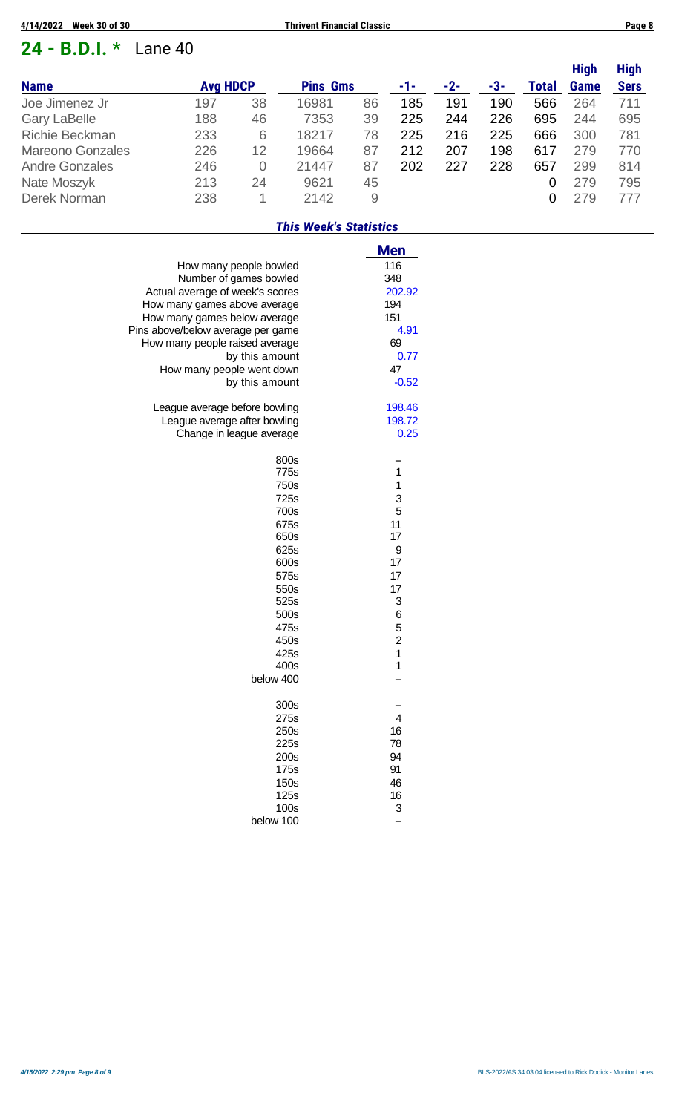# **24 - B.D.I. \*** Lane 40

|                         |                 |    |                 |    |     |     |     |       | <b>High</b> | <b>High</b> |
|-------------------------|-----------------|----|-----------------|----|-----|-----|-----|-------|-------------|-------------|
| <b>Name</b>             | <b>Avg HDCP</b> |    | <b>Pins Gms</b> |    | -1- | -2- | -3- | Total | <b>Game</b> | <b>Sers</b> |
| Joe Jimenez Jr          | 197             | 38 | 16981           | 86 | 185 | 191 | 190 | 566   | 264         | 711         |
| <b>Gary LaBelle</b>     | 188             | 46 | 7353            | 39 | 225 | 244 | 226 | 695   | 244         | 695         |
| <b>Richie Beckman</b>   | 233             | 6  | 18217           | 78 | 225 | 216 | 225 | 666   | 300         | 781         |
| <b>Mareono Gonzales</b> | 226             | 12 | 19664           | 87 | 212 | 207 | 198 | 617   | 279         | 770         |
| <b>Andre Gonzales</b>   | 246             | 0  | 21447           | 87 | 202 | 227 | 228 | 657   | 299         | 814         |
| Nate Moszyk             | 213             | 24 | 9621            | 45 |     |     |     | 0     | 279         | 795         |
| Derek Norman            | 238             |    | 2142            | 9  |     |     |     | 0     | 279         | 777         |

#### *This Week's Statistics*

|                                   | <b>Men</b>              |
|-----------------------------------|-------------------------|
| How many people bowled            | 116                     |
| Number of games bowled            | 348                     |
| Actual average of week's scores   | 202.92                  |
| How many games above average      | 194                     |
| How many games below average      | 151                     |
| Pins above/below average per game | 4.91                    |
| How many people raised average    | 69                      |
| by this amount                    | 0.77                    |
| How many people went down         | 47                      |
| by this amount                    | $-0.52$                 |
| League average before bowling     | 198.46                  |
| League average after bowling      | 198.72                  |
| Change in league average          | 0.25                    |
| 800s                              |                         |
| 775s                              | $\mathbf{1}$            |
| 750s                              | 1                       |
| 725s                              | 3                       |
| 700s                              | 5                       |
| 675s                              | 11                      |
| 650s                              | 17                      |
| 625s                              | 9                       |
| 600s                              | 17                      |
| 575s                              | 17                      |
| 550s                              | 17                      |
| 525s                              | 3                       |
| 500s                              | 6                       |
| 475s<br>450s                      | 5<br>$\overline{c}$     |
| 425s                              | $\mathbf{1}$            |
| 400s                              | 1                       |
| below 400                         |                         |
|                                   |                         |
| 300s                              |                         |
| 275s                              | $\overline{\mathbf{4}}$ |
| 250s                              | 16                      |
| 225s                              | 78                      |
| 200s                              | 94                      |
| 175s                              | 91                      |
| 150s                              | 46                      |
| 125s                              | 16                      |
| 100s                              | 3                       |
| below 100                         |                         |